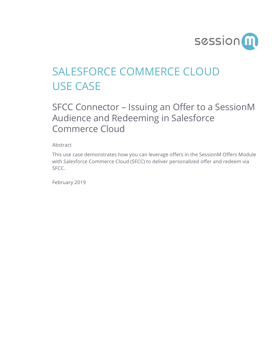

## SALESFORCE COMMERCE CLOUD USE CASE

## SFCC Connector – Issuing an Offer to a SessionM Audience and Redeeming in Salesforce Commerce Cloud

Abstract

This use case demonstrates how you can leverage offers in the SessionM Offers Module with Salesforce Commerce Cloud (SFCC) to deliver personalized offer and redeem via SFCC.

February 2019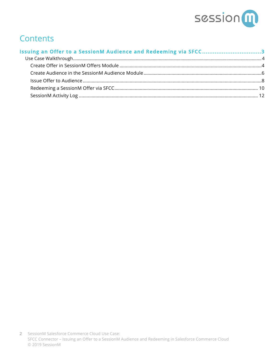

## **Contents**

| Issuing an Offer to a SessionM Audience and Redeeming via SFCC3 |  |
|-----------------------------------------------------------------|--|
|                                                                 |  |
|                                                                 |  |
|                                                                 |  |
|                                                                 |  |
|                                                                 |  |
|                                                                 |  |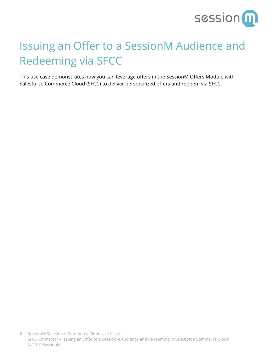

# Issuing an Offer to a SessionM Audience and Redeeming via SFCC

This use case demonstrates how you can leverage offers in the SessionM Offers Module with Salesforce Commerce Cloud (SFCC) to deliver personalized offers and redeem via SFCC.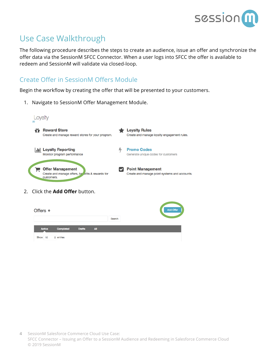

### Use Case Walkthrough

The following procedure describes the steps to create an audience, issue an offer and synchronize the offer data via the SessionM SFCC Connector. When a user logs into SFCC the offer is available to redeem and SessionM will validate via closed-loop.

### Create Offer in SessionM Offers Module

Begin the workflow by creating the offer that will be presented to your customers.

1. Navigate to SessionM Offer Management Module.

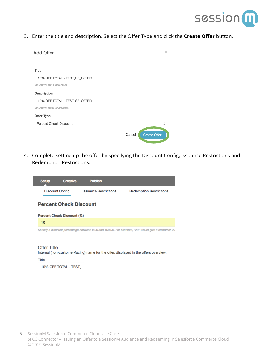

3. Enter the title and description. Select the Offer Type and click the **Create Offer** button.

| Add Offer                     |        | ×                   |
|-------------------------------|--------|---------------------|
| Title                         |        |                     |
| 10% OFF TOTAL - TEST_SF_OFFER |        |                     |
| Maximum 100 Characters.       |        |                     |
| Description                   |        |                     |
| 10% OFF TOTAL - TEST_SF_OFFER |        |                     |
| Maximum 1000 Characters.      |        |                     |
| Offer Type                    |        |                     |
| Percent Check Discount        |        |                     |
|                               | Cancel | <b>Create Offer</b> |

4. Complete setting up the offer by specifying the Discount Config, Issuance Restrictions and Redemption Restrictions.

| Setup                              | <b>Creative</b>               | <b>Publish</b>               |                                                                                                   |
|------------------------------------|-------------------------------|------------------------------|---------------------------------------------------------------------------------------------------|
| <b>Discount Config</b>             |                               | <b>Issuance Restrictions</b> | <b>Redemption Restrictions</b>                                                                    |
|                                    | <b>Percent Check Discount</b> |                              |                                                                                                   |
|                                    | Percent Check Discount (%)    |                              |                                                                                                   |
| 10                                 |                               |                              |                                                                                                   |
|                                    |                               |                              | Specify a discount percentage between 0.00 and 100.00. For example, "20" would give a customer 20 |
| <b>Offer Title</b><br><b>Title</b> |                               |                              | Internal (non-customer-facing) name for the offer, displayed in the offers overview.              |
|                                    | 10% OFF TOTAL - TEST          |                              |                                                                                                   |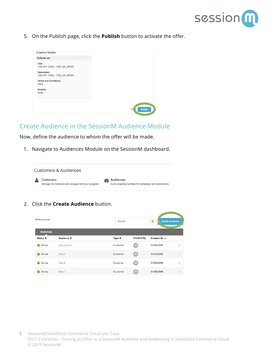

5. On the Publish page, click the **Publish** button to activate the offer.

| <b>Creative Details</b>                             |                |
|-----------------------------------------------------|----------------|
| Culture: en                                         |                |
| <b>Title</b><br>10% OFF TOTAL - TEST_SF_OFFER       |                |
| <b>Description</b><br>10% OFF TOTAL - TEST_SF_OFFER |                |
| <b>Terms and Conditions</b><br>None                 |                |
| Graphic<br>None                                     |                |
|                                                     |                |
|                                                     | Publish<br>CIC |

#### Create Audience in the SessionM Audience Module

Now, define the audience to whom the offer will be made.

1. Navigate to Audiences Module on the SessionM dashboard.



2. Click the **Create Audience** button.

| <b>All Audiences</b><br><b>Audiences</b> |                      | Search            |                         | Q            | <b>Create Audience</b>     |
|------------------------------------------|----------------------|-------------------|-------------------------|--------------|----------------------------|
| Status ≑                                 | Audience $\triangle$ | Type $\triangleq$ | <b>Created By</b>       | Created On ~ |                            |
| Active                                   | size_of_one          | Customer          | ି ଦା                    | 01/25/2019   | $\circled{1}$              |
| Active                                   | Test-3               | Customer          | $\overline{\mathbf{a}}$ | 01/25/2019   | $\left( \mathbf{I}\right)$ |
| Active                                   | Test-2               | Customer          | $\overline{a}$          | 01/25/2019   | ⊕                          |
| Active                                   | Test-1               | Customer          | ( ଭା                    | 01/25/2019   | Đ                          |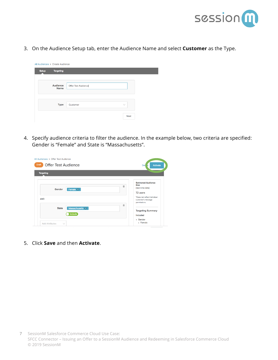

3. On the Audience Setup tab, enter the Audience Name and select **Customer** as the Type.

|              | All Audiences > Create Audience |                          |  |
|--------------|---------------------------------|--------------------------|--|
| <b>Setup</b> | <b>Targeting</b>                |                          |  |
|              | Audience<br><b>Name</b>         | Offer Test Audience      |  |
|              | <b>Type</b>                     | Customer<br>$\checkmark$ |  |
|              |                                 | <b>Next</b>              |  |

4. Specify audience criteria to filter the audience. In the example below, two criteria are specified: Gender is "Female" and State is "Massachusetts".

| All Audiences > Offer Test Audience<br><b>Offer Test Audience</b><br>Draft | Dell                                                                          | <b>Activate</b> |
|----------------------------------------------------------------------------|-------------------------------------------------------------------------------|-----------------|
| <b>Targeting</b>                                                           |                                                                               |                 |
| Female $\times$<br>Gender                                                  | <b>Estimated Audience</b><br><b>Size</b><br>音<br>(real-time data)<br>72 users |                 |
| <b>AND</b>                                                                 | *Does not reflect individual<br>customer's message<br>permissions.<br>宣       |                 |
| Massachusetts X<br><b>State</b><br>Include                                 | <b>Targeting Summary</b><br>Included<br>• Gender                              |                 |
| <b>Add Attributes</b><br>$\checkmark$                                      | - Female                                                                      |                 |

5. Click **Save** and then **Activate**.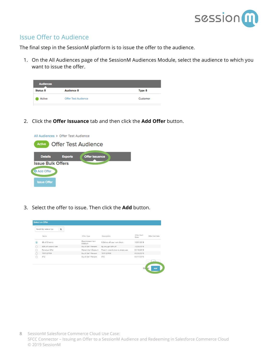

#### Issue Offer to Audience

The final step in the SessionM platform is to issue the offer to the audience.

1. On the All Audiences page of the SessionM Audiences Module, select the audience to which you want to issue the offer.

| <b>Audiences</b> |                            |                   |
|------------------|----------------------------|-------------------|
| Status ≑         | Audience ≑                 | Type $\triangleq$ |
| Active           | <b>Offer Test Audience</b> | Customer          |

2. Click the **Offer Issuance** tab and then click the **Add Offer** button.



3. Select the offer to issue. Then click the **Add** button.

|   | Select an Offer            |                               |                                     |                     |                |
|---|----------------------------|-------------------------------|-------------------------------------|---------------------|----------------|
|   | Search by name or typ<br>Q |                               |                                     |                     |                |
|   | Name                       | Offer Type                    | Description                         | Offer Start<br>Date | Offer End Date |
| ⊙ | \$5 off Check b            | Fixed Amount Item<br>Discount | 5 Dollars off your next check       | 12/21/2018          |                |
|   | 50% off second item        | Buy X Get Y Percent           | By one, get 50% off                 | 12/29/2018          |                |
|   | Perpetual Offer            | Percent Item Discount         | Place in reward store to always use | 01/16/2019          |                |
|   | TEST-OFFER                 | Buy X Get Y Percent           | TEST-OFFER                          | 01/09/2019          |                |
|   | XYZ                        | Buy X Get Y Percent           | XYZ                                 | 01/17/2019          |                |
|   |                            |                               |                                     |                     |                |
|   |                            |                               |                                     | Ca                  | Add<br>hel     |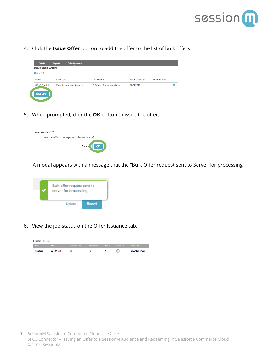

4. Click the **Issue Offer** button to add the offer to the list of bulk offers.

| <b>Issue Bulk Offers</b> |                                   |                               |                         |                |   |
|--------------------------|-----------------------------------|-------------------------------|-------------------------|----------------|---|
| <b>O</b> Add Offer       |                                   |                               |                         |                |   |
| Name                     | Offer Type                        | Description                   | <b>Offer Start Date</b> | Offer End Date |   |
| \$5 off Check b          | <b>Fixed Amount Item Discount</b> | 5 Dollars off your next check | 12/21/2018              |                | o |

5. When prompted, click the **OK** button to issue the offer.



A modal appears with a message that the "Bulk Offer request sent to Server for processing".



6. View the job status on the Offer Issuance tab.

| <b>History</b> Refresh |               |               |           |               |                  |                   |
|------------------------|---------------|---------------|-----------|---------------|------------------|-------------------|
| <b>Status</b>          | Offer         | Audience size | Processed | <b>Errors</b> | <b>Issued by</b> | <b>Issue date</b> |
| Completed              | \$5 off Check | 72            | 72        | ٥             |                  | 01/28/2019 1:43pm |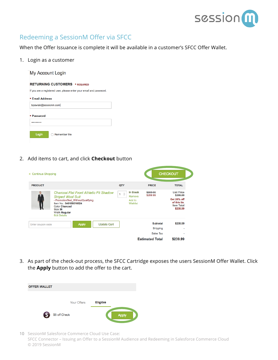

### Redeeming a SessionM Offer via SFCC

When the Offer Issuance is complete it will be available in a customer's SFCC Offer Wallet.

1. Login as a customer

| My Account Login                                                    |
|---------------------------------------------------------------------|
| <b>RETURNING CUSTOMERS • REQUIRED</b>                               |
| If you are a registered user, please enter your email and password. |
| <b>• Email Address</b>                                              |
| bpawlak@sessionm.com                                                |
| Password                                                            |
|                                                                     |
| Login<br><b>Remember Me</b>                                         |

2. Add items to cart, and click **Checkout** button

| « Continue Shopping |                                                                                                                                                                                                                       | <b>CHECKOUT</b>                                                                                              |                                                                           |                                                                                                      |
|---------------------|-----------------------------------------------------------------------------------------------------------------------------------------------------------------------------------------------------------------------|--------------------------------------------------------------------------------------------------------------|---------------------------------------------------------------------------|------------------------------------------------------------------------------------------------------|
| <b>PRODUCT</b>      |                                                                                                                                                                                                                       | QTY                                                                                                          | <b>PRICE</b>                                                              | <b>TOTAL</b>                                                                                         |
|                     | Charcoal Flat Front Athletic Fit Shadow<br><b>Striped Wool Suit</b><br>- PromotionTest WithoutQualifying<br>Item No.: 640188016624<br><b>Color Charcoal</b><br>Size 38<br><b>Width Regular</b><br><b>Edit Details</b> | <b>In Stock</b><br>$\overset{\mathtt{A}}{\mathtt{v}}$<br>$\mathbf{1}$<br>Remove<br>Add to<br><b>Wishlist</b> | \$500.00<br>\$299.99                                                      | <b>List Price</b><br>\$299.99<br><b>Get 20% off</b><br>of this tie.<br><b>Item Total</b><br>\$239.99 |
| Enter coupon code   | <b>Update Cart</b><br><b>Apply</b>                                                                                                                                                                                    |                                                                                                              | <b>Subtotal</b><br>Shipping<br><b>Sales Tax</b><br><b>Estimated Total</b> | \$239.99<br>\$239.99                                                                                 |

3. As part of the check-out process, the SFCC Cartridge exposes the users SessionM Offer Wallet. Click the **Apply** button to add the offer to the cart.

| <b>OFFER WALLET</b> |               |                    |          |              |
|---------------------|---------------|--------------------|----------|--------------|
|                     |               | <b>Your Offers</b> | Eligible |              |
| \$                  | \$5 off Check |                    |          | <b>Apply</b> |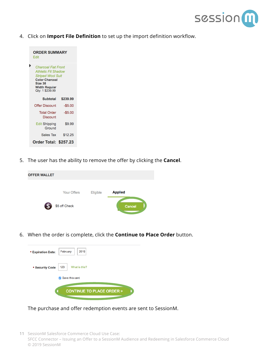

4. Click on **Import File Definition** to set up the import definition workflow.

| <b>ORDER SUMMARY</b><br>Edit                                                                                                                                        |          |
|---------------------------------------------------------------------------------------------------------------------------------------------------------------------|----------|
| <b>Charcoal Flat Front</b><br><b>Athletic Fit Shadow</b><br><b>Striped Wool Suit</b><br><b>Color Charcoal</b><br>Size 38<br><b>Width Regular</b><br>Qty: 1 \$239.99 |          |
| Subtotal                                                                                                                                                            | \$239.99 |
| Offer Discount                                                                                                                                                      | $-$5.00$ |
| <b>Total Order</b><br><b>Discount</b>                                                                                                                               | $-$5.00$ |
| <b>Edit Shipping</b><br>Ground                                                                                                                                      | \$9.99   |
| Sales Tax                                                                                                                                                           | \$12.25  |
| Order Total: \$257.23                                                                                                                                               |          |

5. The user has the ability to remove the offer by clicking the **Cancel**.

| <b>OFFER WALLET</b> |                    |          |                |
|---------------------|--------------------|----------|----------------|
|                     | <b>Your Offers</b> | Eligible | <b>Applied</b> |
| $\mathsf{S}$        | \$5 off Check      |          | Cancel         |

6. When the order is complete, click the **Continue to Place Order** button.

| <b>• Expiration Date:</b>       | 2019<br>February                    |  |  |  |
|---------------------------------|-------------------------------------|--|--|--|
| <b>• Security Code</b>          | What is this?<br>123                |  |  |  |
| Save this card<br>$\mathcal{L}$ |                                     |  |  |  |
|                                 | <b>CONTINUE TO PLACE ORDER &gt;</b> |  |  |  |

The purchase and offer redemption events are sent to SessionM.